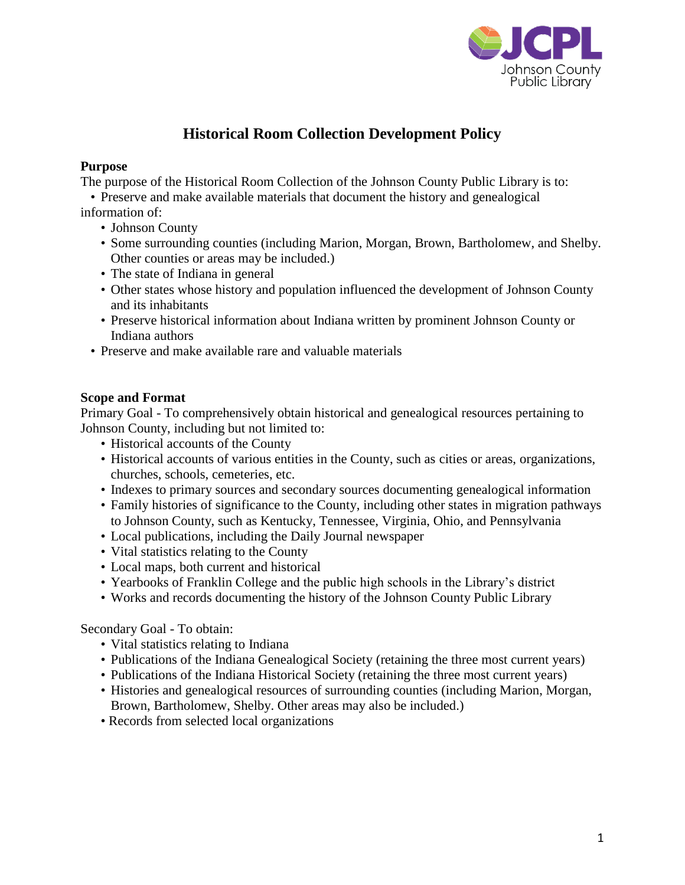

# **Historical Room Collection Development Policy**

### **Purpose**

The purpose of the Historical Room Collection of the Johnson County Public Library is to:

• Preserve and make available materials that document the history and genealogical information of:

- Johnson County
- Some surrounding counties (including Marion, Morgan, Brown, Bartholomew, and Shelby. Other counties or areas may be included.)
- The state of Indiana in general
- Other states whose history and population influenced the development of Johnson County and its inhabitants
- Preserve historical information about Indiana written by prominent Johnson County or Indiana authors
- Preserve and make available rare and valuable materials

## **Scope and Format**

Primary Goal - To comprehensively obtain historical and genealogical resources pertaining to Johnson County, including but not limited to:

- Historical accounts of the County
- Historical accounts of various entities in the County, such as cities or areas, organizations, churches, schools, cemeteries, etc.
- Indexes to primary sources and secondary sources documenting genealogical information
- Family histories of significance to the County, including other states in migration pathways to Johnson County, such as Kentucky, Tennessee, Virginia, Ohio, and Pennsylvania
- Local publications, including the Daily Journal newspaper
- Vital statistics relating to the County
- Local maps, both current and historical
- Yearbooks of Franklin College and the public high schools in the Library's district
- Works and records documenting the history of the Johnson County Public Library

Secondary Goal - To obtain:

- Vital statistics relating to Indiana
- Publications of the Indiana Genealogical Society (retaining the three most current years)
- Publications of the Indiana Historical Society (retaining the three most current years)
- Histories and genealogical resources of surrounding counties (including Marion, Morgan, Brown, Bartholomew, Shelby. Other areas may also be included.)
- Records from selected local organizations